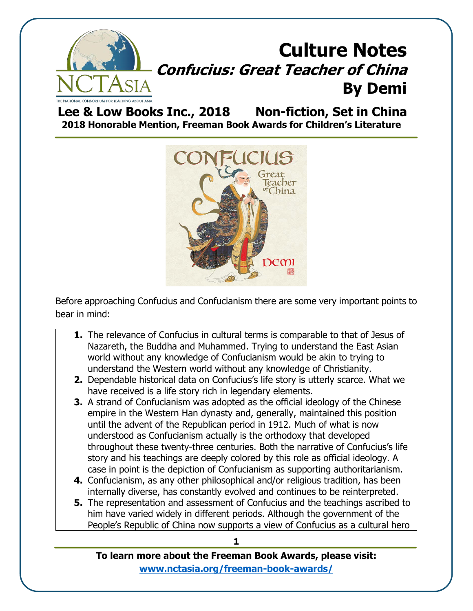

**Lee & Low Books Inc., 2018 Non-fiction, Set in China 2018 Honorable Mention, Freeman Book Awards for Children's Literature**



Before approaching Confucius and Confucianism there are some very important points to bear in mind:

- **1.** The relevance of Confucius in cultural terms is comparable to that of Jesus of Nazareth, the Buddha and Muhammed. Trying to understand the East Asian world without any knowledge of Confucianism would be akin to trying to understand the Western world without any knowledge of Christianity.
- **2.** Dependable historical data on Confucius's life story is utterly scarce. What we have received is a life story rich in legendary elements.
- **3.** A strand of Confucianism was adopted as the official ideology of the Chinese empire in the Western Han dynasty and, generally, maintained this position until the advent of the Republican period in 1912. Much of what is now understood as Confucianism actually is the orthodoxy that developed throughout these twenty-three centuries. Both the narrative of Confucius's life story and his teachings are deeply colored by this role as official ideology. A case in point is the depiction of Confucianism as supporting authoritarianism.
- **4.** Confucianism, as any other philosophical and/or religious tradition, has been internally diverse, has constantly evolved and continues to be reinterpreted.
- **5.** The representation and assessment of Confucius and the teachings ascribed to him have varied widely in different periods. Although the government of the People's Republic of China now supports a view of Confucius as a cultural hero

**To learn more about the Freeman Book Awards, please visit: [www.nctasia.org/freeman-book-awards/](https://nctasia.org/freeman-book-awards/)**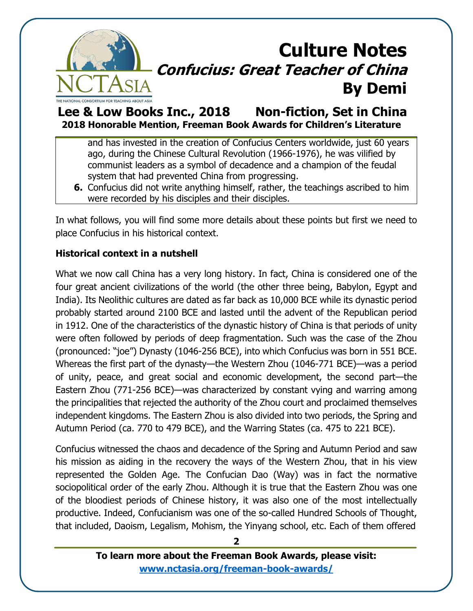

### **Lee & Low Books Inc., 2018 Non-fiction, Set in China 2018 Honorable Mention, Freeman Book Awards for Children's Literature**

and has invested in the creation of Confucius Centers worldwide, just 60 years ago, during the Chinese Cultural Revolution (1966-1976), he was vilified by communist leaders as a symbol of decadence and a champion of the feudal system that had prevented China from progressing.

**6.** Confucius did not write anything himself, rather, the teachings ascribed to him were recorded by his disciples and their disciples.

In what follows, you will find some more details about these points but first we need to place Confucius in his historical context.

#### **Historical context in a nutshell**

What we now call China has a very long history. In fact, China is considered one of the four great ancient civilizations of the world (the other three being, Babylon, Egypt and India). Its Neolithic cultures are dated as far back as 10,000 BCE while its dynastic period probably started around 2100 BCE and lasted until the advent of the Republican period in 1912. One of the characteristics of the dynastic history of China is that periods of unity were often followed by periods of deep fragmentation. Such was the case of the Zhou (pronounced: "joe") Dynasty (1046-256 BCE), into which Confucius was born in 551 BCE. Whereas the first part of the dynasty—the Western Zhou (1046-771 BCE)—was a period of unity, peace, and great social and economic development, the second part—the Eastern Zhou (771-256 BCE)—was characterized by constant vying and warring among the principalities that rejected the authority of the Zhou court and proclaimed themselves independent kingdoms. The Eastern Zhou is also divided into two periods, the Spring and Autumn Period (ca. 770 to 479 BCE), and the Warring States (ca. 475 to 221 BCE).

Confucius witnessed the chaos and decadence of the Spring and Autumn Period and saw his mission as aiding in the recovery the ways of the Western Zhou, that in his view represented the Golden Age. The Confucian Dao (Way) was in fact the normative sociopolitical order of the early Zhou. Although it is true that the Eastern Zhou was one of the bloodiest periods of Chinese history, it was also one of the most intellectually productive. Indeed, Confucianism was one of the so-called Hundred Schools of Thought, that included, Daoism, Legalism, Mohism, the Yinyang school, etc. Each of them offered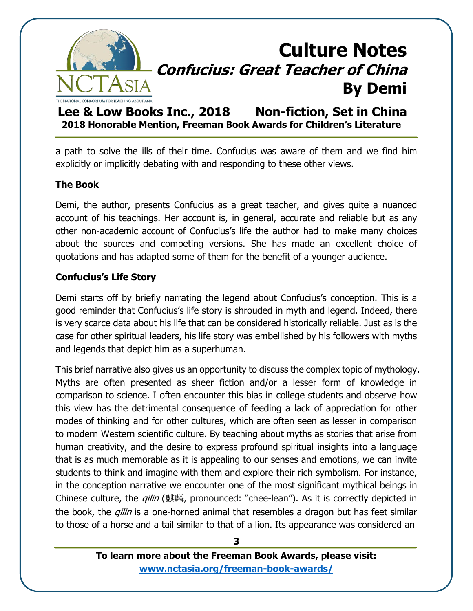

**Lee & Low Books Inc., 2018 Non-fiction, Set in China 2018 Honorable Mention, Freeman Book Awards for Children's Literature**

a path to solve the ills of their time. Confucius was aware of them and we find him explicitly or implicitly debating with and responding to these other views.

#### **The Book**

Demi, the author, presents Confucius as a great teacher, and gives quite a nuanced account of his teachings. Her account is, in general, accurate and reliable but as any other non-academic account of Confucius's life the author had to make many choices about the sources and competing versions. She has made an excellent choice of quotations and has adapted some of them for the benefit of a younger audience.

#### **Confucius's Life Story**

Demi starts off by briefly narrating the legend about Confucius's conception. This is a good reminder that Confucius's life story is shrouded in myth and legend. Indeed, there is very scarce data about his life that can be considered historically reliable. Just as is the case for other spiritual leaders, his life story was embellished by his followers with myths and legends that depict him as a superhuman.

This brief narrative also gives us an opportunity to discuss the complex topic of mythology. Myths are often presented as sheer fiction and/or a lesser form of knowledge in comparison to science. I often encounter this bias in college students and observe how this view has the detrimental consequence of feeding a lack of appreciation for other modes of thinking and for other cultures, which are often seen as lesser in comparison to modern Western scientific culture. By teaching about myths as stories that arise from human creativity, and the desire to express profound spiritual insights into a language that is as much memorable as it is appealing to our senses and emotions, we can invite students to think and imagine with them and explore their rich symbolism. For instance, in the conception narrative we encounter one of the most significant mythical beings in Chinese culture, the *qilin* (麒麟, pronounced: "chee-lean"). As it is correctly depicted in the book, the *gilin* is a one-horned animal that resembles a dragon but has feet similar to those of a horse and a tail similar to that of a lion. Its appearance was considered an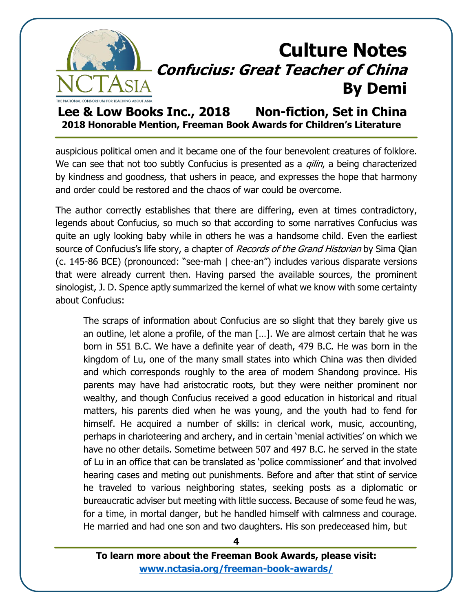

### **Lee & Low Books Inc., 2018 Non-fiction, Set in China 2018 Honorable Mention, Freeman Book Awards for Children's Literature**

auspicious political omen and it became one of the four benevolent creatures of folklore. We can see that not too subtly Confucius is presented as a *gilin*, a being characterized by kindness and goodness, that ushers in peace, and expresses the hope that harmony and order could be restored and the chaos of war could be overcome.

The author correctly establishes that there are differing, even at times contradictory, legends about Confucius, so much so that according to some narratives Confucius was quite an ugly looking baby while in others he was a handsome child. Even the earliest source of Confucius's life story, a chapter of *Records of the Grand Historian* by Sima Qian (c. 145-86 BCE) (pronounced: "see-mah | chee-an") includes various disparate versions that were already current then. Having parsed the available sources, the prominent sinologist, J. D. Spence aptly summarized the kernel of what we know with some certainty about Confucius:

The scraps of information about Confucius are so slight that they barely give us an outline, let alone a profile, of the man […]. We are almost certain that he was born in 551 B.C. We have a definite year of death, 479 B.C. He was born in the kingdom of Lu, one of the many small states into which China was then divided and which corresponds roughly to the area of modern Shandong province. His parents may have had aristocratic roots, but they were neither prominent nor wealthy, and though Confucius received a good education in historical and ritual matters, his parents died when he was young, and the youth had to fend for himself. He acquired a number of skills: in clerical work, music, accounting, perhaps in charioteering and archery, and in certain 'menial activities' on which we have no other details. Sometime between 507 and 497 B.C. he served in the state of Lu in an office that can be translated as 'police commissioner' and that involved hearing cases and meting out punishments. Before and after that stint of service he traveled to various neighboring states, seeking posts as a diplomatic or bureaucratic adviser but meeting with little success. Because of some feud he was, for a time, in mortal danger, but he handled himself with calmness and courage. He married and had one son and two daughters. His son predeceased him, but

**To learn more about the Freeman Book Awards, please visit: [www.nctasia.org/freeman-book-awards/](https://nctasia.org/freeman-book-awards/)**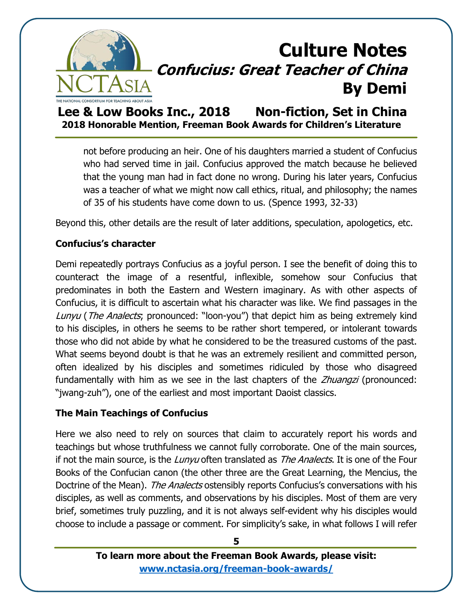

**Lee & Low Books Inc., 2018 Non-fiction, Set in China 2018 Honorable Mention, Freeman Book Awards for Children's Literature**

not before producing an heir. One of his daughters married a student of Confucius who had served time in jail. Confucius approved the match because he believed that the young man had in fact done no wrong. During his later years, Confucius was a teacher of what we might now call ethics, ritual, and philosophy; the names of 35 of his students have come down to us. (Spence 1993, 32-33)

Beyond this, other details are the result of later additions, speculation, apologetics, etc.

#### **Confucius's character**

Demi repeatedly portrays Confucius as a joyful person. I see the benefit of doing this to counteract the image of a resentful, inflexible, somehow sour Confucius that predominates in both the Eastern and Western imaginary. As with other aspects of Confucius, it is difficult to ascertain what his character was like. We find passages in the Lunyu (The Analects, pronounced: "loon-you") that depict him as being extremely kind to his disciples, in others he seems to be rather short tempered, or intolerant towards those who did not abide by what he considered to be the treasured customs of the past. What seems beyond doubt is that he was an extremely resilient and committed person, often idealized by his disciples and sometimes ridiculed by those who disagreed fundamentally with him as we see in the last chapters of the *Zhuangzi* (pronounced: "jwang-zuh"), one of the earliest and most important Daoist classics.

### **The Main Teachings of Confucius**

Here we also need to rely on sources that claim to accurately report his words and teachings but whose truthfulness we cannot fully corroborate. One of the main sources, if not the main source, is the Lunyu often translated as The Analects. It is one of the Four Books of the Confucian canon (the other three are the Great Learning, the Mencius, the Doctrine of the Mean). The Analects ostensibly reports Confucius's conversations with his disciples, as well as comments, and observations by his disciples. Most of them are very brief, sometimes truly puzzling, and it is not always self-evident why his disciples would choose to include a passage or comment. For simplicity's sake, in what follows I will refer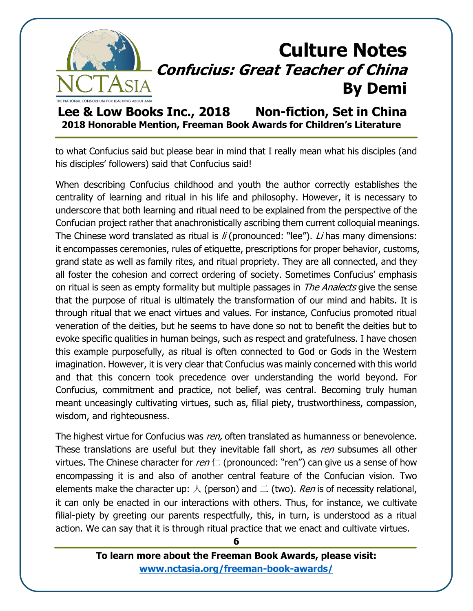

**Lee & Low Books Inc., 2018 Non-fiction, Set in China 2018 Honorable Mention, Freeman Book Awards for Children's Literature**

to what Confucius said but please bear in mind that I really mean what his disciples (and his disciples' followers) said that Confucius said!

When describing Confucius childhood and youth the author correctly establishes the centrality of learning and ritual in his life and philosophy. However, it is necessary to underscore that both learning and ritual need to be explained from the perspective of the Confucian project rather that anachronistically ascribing them current colloquial meanings. The Chinese word translated as ritual is  $li$  (pronounced: "lee"). Li has many dimensions: it encompasses ceremonies, rules of etiquette, prescriptions for proper behavior, customs, grand state as well as family rites, and ritual propriety. They are all connected, and they all foster the cohesion and correct ordering of society. Sometimes Confucius' emphasis on ritual is seen as empty formality but multiple passages in *The Analects* give the sense that the purpose of ritual is ultimately the transformation of our mind and habits. It is through ritual that we enact virtues and values. For instance, Confucius promoted ritual veneration of the deities, but he seems to have done so not to benefit the deities but to evoke specific qualities in human beings, such as respect and gratefulness. I have chosen this example purposefully, as ritual is often connected to God or Gods in the Western imagination. However, it is very clear that Confucius was mainly concerned with this world and that this concern took precedence over understanding the world beyond. For Confucius, commitment and practice, not belief, was central. Becoming truly human meant unceasingly cultivating virtues, such as, filial piety, trustworthiness, compassion, wisdom, and righteousness.

The highest virtue for Confucius was ren, often translated as humanness or benevolence. These translations are useful but they inevitable fall short, as ren subsumes all other virtues. The Chinese character for ren  $\Box$  (pronounced: "ren") can give us a sense of how encompassing it is and also of another central feature of the Confucian vision. Two elements make the character up:  $\land$  (person) and  $\equiv$  (two). *Ren* is of necessity relational, it can only be enacted in our interactions with others. Thus, for instance, we cultivate filial-piety by greeting our parents respectfully, this, in turn, is understood as a ritual action. We can say that it is through ritual practice that we enact and cultivate virtues.

> **To learn more about the Freeman Book Awards, please visit: [www.nctasia.org/freeman-book-awards/](https://nctasia.org/freeman-book-awards/)**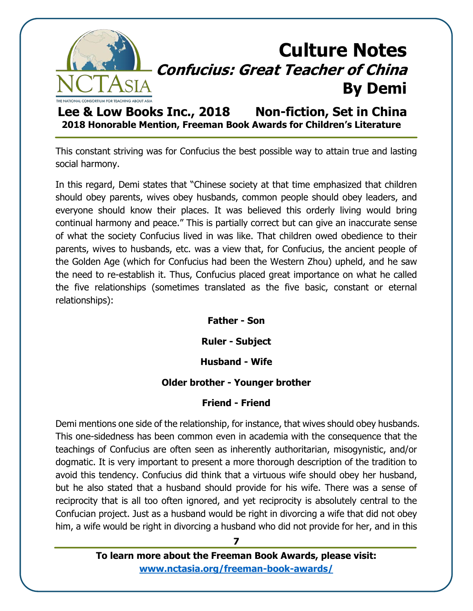

**Lee & Low Books Inc., 2018 Non-fiction, Set in China 2018 Honorable Mention, Freeman Book Awards for Children's Literature**

This constant striving was for Confucius the best possible way to attain true and lasting social harmony.

In this regard, Demi states that "Chinese society at that time emphasized that children should obey parents, wives obey husbands, common people should obey leaders, and everyone should know their places. It was believed this orderly living would bring continual harmony and peace." This is partially correct but can give an inaccurate sense of what the society Confucius lived in was like. That children owed obedience to their parents, wives to husbands, etc. was a view that, for Confucius, the ancient people of the Golden Age (which for Confucius had been the Western Zhou) upheld, and he saw the need to re-establish it. Thus, Confucius placed great importance on what he called the five relationships (sometimes translated as the five basic, constant or eternal relationships):

**Father - Son**

**Ruler - Subject**

#### **Husband - Wife**

#### **Older brother - Younger brother**

#### **Friend - Friend**

Demi mentions one side of the relationship, for instance, that wives should obey husbands. This one-sidedness has been common even in academia with the consequence that the teachings of Confucius are often seen as inherently authoritarian, misogynistic, and/or dogmatic. It is very important to present a more thorough description of the tradition to avoid this tendency. Confucius did think that a virtuous wife should obey her husband, but he also stated that a husband should provide for his wife. There was a sense of reciprocity that is all too often ignored, and yet reciprocity is absolutely central to the Confucian project. Just as a husband would be right in divorcing a wife that did not obey him, a wife would be right in divorcing a husband who did not provide for her, and in this

> **To learn more about the Freeman Book Awards, please visit: [www.nctasia.org/freeman-book-awards/](https://nctasia.org/freeman-book-awards/)**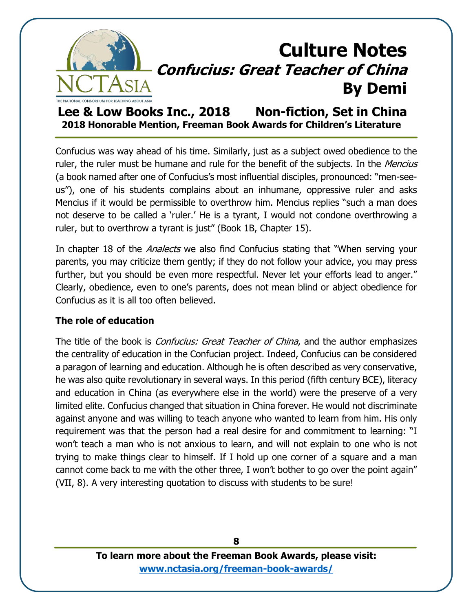

**Lee & Low Books Inc., 2018 Non-fiction, Set in China 2018 Honorable Mention, Freeman Book Awards for Children's Literature**

Confucius was way ahead of his time. Similarly, just as a subject owed obedience to the ruler, the ruler must be humane and rule for the benefit of the subjects. In the Mencius (a book named after one of Confucius's most influential disciples, pronounced: "men-seeus"), one of his students complains about an inhumane, oppressive ruler and asks Mencius if it would be permissible to overthrow him. Mencius replies "such a man does not deserve to be called a 'ruler.' He is a tyrant, I would not condone overthrowing a ruler, but to overthrow a tyrant is just" (Book 1B, Chapter 15).

In chapter 18 of the *Analects* we also find Confucius stating that "When serving your parents, you may criticize them gently; if they do not follow your advice, you may press further, but you should be even more respectful. Never let your efforts lead to anger." Clearly, obedience, even to one's parents, does not mean blind or abject obedience for Confucius as it is all too often believed.

#### **The role of education**

The title of the book is *Confucius: Great Teacher of China*, and the author emphasizes the centrality of education in the Confucian project. Indeed, Confucius can be considered a paragon of learning and education. Although he is often described as very conservative, he was also quite revolutionary in several ways. In this period (fifth century BCE), literacy and education in China (as everywhere else in the world) were the preserve of a very limited elite. Confucius changed that situation in China forever. He would not discriminate against anyone and was willing to teach anyone who wanted to learn from him. His only requirement was that the person had a real desire for and commitment to learning: "I won't teach a man who is not anxious to learn, and will not explain to one who is not trying to make things clear to himself. If I hold up one corner of a square and a man cannot come back to me with the other three, I won't bother to go over the point again" (VII, 8). A very interesting quotation to discuss with students to be sure!